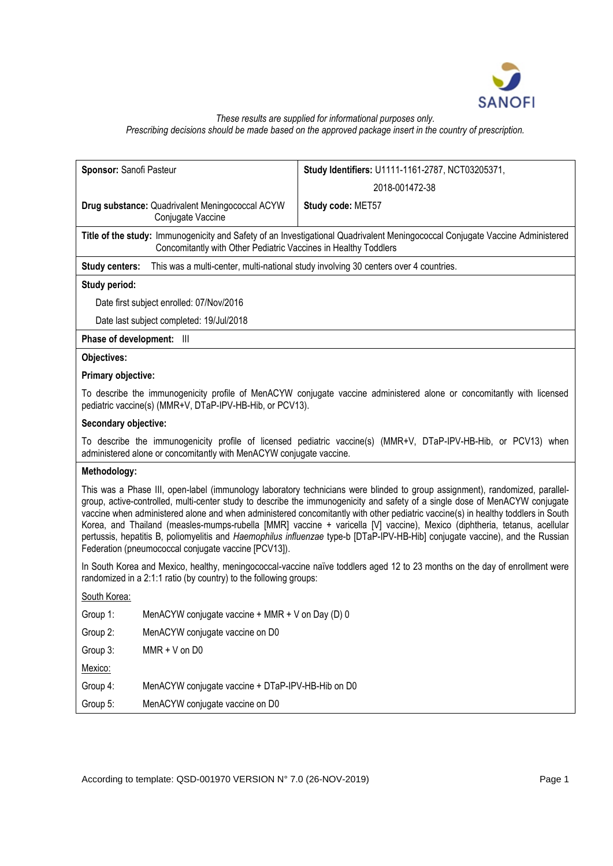

# *These results are supplied for informational purposes only. Prescribing decisions should be made based on the approved package insert in the country of prescription.*

| Sponsor: Sanofi Pasteur                                                                                                                                                                                                                                                                                                                                                                                                                                                                                                                                                                                                                                                                                                |                                                                                                               | Study Identifiers: U1111-1161-2787, NCT03205371, |  |  |
|------------------------------------------------------------------------------------------------------------------------------------------------------------------------------------------------------------------------------------------------------------------------------------------------------------------------------------------------------------------------------------------------------------------------------------------------------------------------------------------------------------------------------------------------------------------------------------------------------------------------------------------------------------------------------------------------------------------------|---------------------------------------------------------------------------------------------------------------|--------------------------------------------------|--|--|
|                                                                                                                                                                                                                                                                                                                                                                                                                                                                                                                                                                                                                                                                                                                        |                                                                                                               | 2018-001472-38                                   |  |  |
|                                                                                                                                                                                                                                                                                                                                                                                                                                                                                                                                                                                                                                                                                                                        | Drug substance: Quadrivalent Meningococcal ACYW<br>Conjugate Vaccine                                          | Study code: MET57                                |  |  |
| Title of the study: Immunogenicity and Safety of an Investigational Quadrivalent Meningococcal Conjugate Vaccine Administered<br>Concomitantly with Other Pediatric Vaccines in Healthy Toddlers                                                                                                                                                                                                                                                                                                                                                                                                                                                                                                                       |                                                                                                               |                                                  |  |  |
|                                                                                                                                                                                                                                                                                                                                                                                                                                                                                                                                                                                                                                                                                                                        | This was a multi-center, multi-national study involving 30 centers over 4 countries.<br><b>Study centers:</b> |                                                  |  |  |
| Study period:                                                                                                                                                                                                                                                                                                                                                                                                                                                                                                                                                                                                                                                                                                          |                                                                                                               |                                                  |  |  |
|                                                                                                                                                                                                                                                                                                                                                                                                                                                                                                                                                                                                                                                                                                                        | Date first subject enrolled: 07/Nov/2016                                                                      |                                                  |  |  |
|                                                                                                                                                                                                                                                                                                                                                                                                                                                                                                                                                                                                                                                                                                                        | Date last subject completed: 19/Jul/2018                                                                      |                                                  |  |  |
|                                                                                                                                                                                                                                                                                                                                                                                                                                                                                                                                                                                                                                                                                                                        | Phase of development: III                                                                                     |                                                  |  |  |
| Objectives:                                                                                                                                                                                                                                                                                                                                                                                                                                                                                                                                                                                                                                                                                                            |                                                                                                               |                                                  |  |  |
| Primary objective:                                                                                                                                                                                                                                                                                                                                                                                                                                                                                                                                                                                                                                                                                                     |                                                                                                               |                                                  |  |  |
| To describe the immunogenicity profile of MenACYW conjugate vaccine administered alone or concomitantly with licensed<br>pediatric vaccine(s) (MMR+V, DTaP-IPV-HB-Hib, or PCV13).                                                                                                                                                                                                                                                                                                                                                                                                                                                                                                                                      |                                                                                                               |                                                  |  |  |
| Secondary objective:                                                                                                                                                                                                                                                                                                                                                                                                                                                                                                                                                                                                                                                                                                   |                                                                                                               |                                                  |  |  |
| To describe the immunogenicity profile of licensed pediatric vaccine(s) (MMR+V, DTaP-IPV-HB-Hib, or PCV13) when<br>administered alone or concomitantly with MenACYW conjugate vaccine.                                                                                                                                                                                                                                                                                                                                                                                                                                                                                                                                 |                                                                                                               |                                                  |  |  |
| Methodology:                                                                                                                                                                                                                                                                                                                                                                                                                                                                                                                                                                                                                                                                                                           |                                                                                                               |                                                  |  |  |
| This was a Phase III, open-label (immunology laboratory technicians were blinded to group assignment), randomized, parallel-<br>group, active-controlled, multi-center study to describe the immunogenicity and safety of a single dose of MenACYW conjugate<br>vaccine when administered alone and when administered concomitantly with other pediatric vaccine(s) in healthy toddlers in South<br>Korea, and Thailand (measles-mumps-rubella [MMR] vaccine + varicella [V] vaccine), Mexico (diphtheria, tetanus, acellular<br>pertussis, hepatitis B, poliomyelitis and Haemophilus influenzae type-b [DTaP-IPV-HB-Hib] conjugate vaccine), and the Russian<br>Federation (pneumococcal conjugate vaccine [PCV13]). |                                                                                                               |                                                  |  |  |
| In South Korea and Mexico, healthy, meningococcal-vaccine naïve toddlers aged 12 to 23 months on the day of enrollment were<br>randomized in a 2:1:1 ratio (by country) to the following groups:                                                                                                                                                                                                                                                                                                                                                                                                                                                                                                                       |                                                                                                               |                                                  |  |  |
| South Korea:                                                                                                                                                                                                                                                                                                                                                                                                                                                                                                                                                                                                                                                                                                           |                                                                                                               |                                                  |  |  |
| Group 1:                                                                                                                                                                                                                                                                                                                                                                                                                                                                                                                                                                                                                                                                                                               | MenACYW conjugate vaccine + MMR + V on Day (D) 0                                                              |                                                  |  |  |
| Group 2:                                                                                                                                                                                                                                                                                                                                                                                                                                                                                                                                                                                                                                                                                                               | MenACYW conjugate vaccine on D0                                                                               |                                                  |  |  |
| Group 3:                                                                                                                                                                                                                                                                                                                                                                                                                                                                                                                                                                                                                                                                                                               | $MMR + V$ on D0                                                                                               |                                                  |  |  |
| Mexico:                                                                                                                                                                                                                                                                                                                                                                                                                                                                                                                                                                                                                                                                                                                |                                                                                                               |                                                  |  |  |
| Group 4:                                                                                                                                                                                                                                                                                                                                                                                                                                                                                                                                                                                                                                                                                                               | MenACYW conjugate vaccine + DTaP-IPV-HB-Hib on D0                                                             |                                                  |  |  |
| Group 5:                                                                                                                                                                                                                                                                                                                                                                                                                                                                                                                                                                                                                                                                                                               | MenACYW conjugate vaccine on D0                                                                               |                                                  |  |  |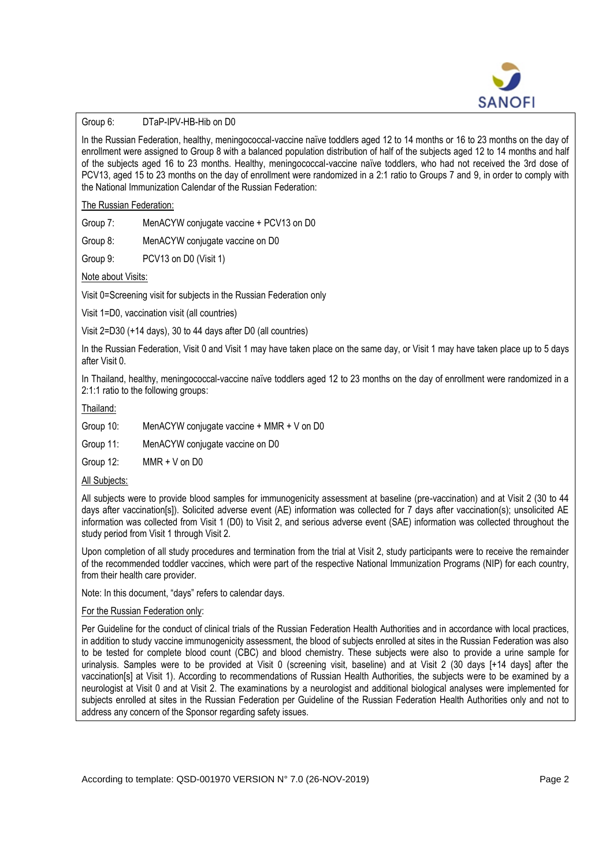

# Group 6: DTaP-IPV-HB-Hib on D0

In the Russian Federation, healthy, meningococcal-vaccine naïve toddlers aged 12 to 14 months or 16 to 23 months on the day of enrollment were assigned to Group 8 with a balanced population distribution of half of the subjects aged 12 to 14 months and half of the subjects aged 16 to 23 months. Healthy, meningococcal-vaccine naïve toddlers, who had not received the 3rd dose of PCV13, aged 15 to 23 months on the day of enrollment were randomized in a 2:1 ratio to Groups 7 and 9, in order to comply with the National Immunization Calendar of the Russian Federation:

The Russian Federation:

Group 7: MenACYW conjugate vaccine + PCV13 on D0

Group 8: MenACYW conjugate vaccine on D0

Group 9: PCV13 on D0 (Visit 1)

Note about Visits:

Visit 0=Screening visit for subjects in the Russian Federation only

Visit 1=D0, vaccination visit (all countries)

Visit 2=D30 (+14 days), 30 to 44 days after D0 (all countries)

In the Russian Federation, Visit 0 and Visit 1 may have taken place on the same day, or Visit 1 may have taken place up to 5 days after Visit 0.

In Thailand, healthy, meningococcal-vaccine naïve toddlers aged 12 to 23 months on the day of enrollment were randomized in a 2:1:1 ratio to the following groups:

Thailand:

Group 10: MenACYW conjugate vaccine + MMR + V on D0

Group 11: MenACYW conjugate vaccine on D0

Group 12: MMR + V on D0

## All Subjects:

All subjects were to provide blood samples for immunogenicity assessment at baseline (pre-vaccination) and at Visit 2 (30 to 44 days after vaccination[s]). Solicited adverse event (AE) information was collected for 7 days after vaccination(s); unsolicited AE information was collected from Visit 1 (D0) to Visit 2, and serious adverse event (SAE) information was collected throughout the study period from Visit 1 through Visit 2.

Upon completion of all study procedures and termination from the trial at Visit 2, study participants were to receive the remainder of the recommended toddler vaccines, which were part of the respective National Immunization Programs (NIP) for each country, from their health care provider.

Note: In this document, "days" refers to calendar days.

## For the Russian Federation only:

Per Guideline for the conduct of clinical trials of the Russian Federation Health Authorities and in accordance with local practices, in addition to study vaccine immunogenicity assessment, the blood of subjects enrolled at sites in the Russian Federation was also to be tested for complete blood count (CBC) and blood chemistry. These subjects were also to provide a urine sample for urinalysis. Samples were to be provided at Visit 0 (screening visit, baseline) and at Visit 2 (30 days [+14 days] after the vaccination[s] at Visit 1). According to recommendations of Russian Health Authorities, the subjects were to be examined by a neurologist at Visit 0 and at Visit 2. The examinations by a neurologist and additional biological analyses were implemented for subjects enrolled at sites in the Russian Federation per Guideline of the Russian Federation Health Authorities only and not to address any concern of the Sponsor regarding safety issues.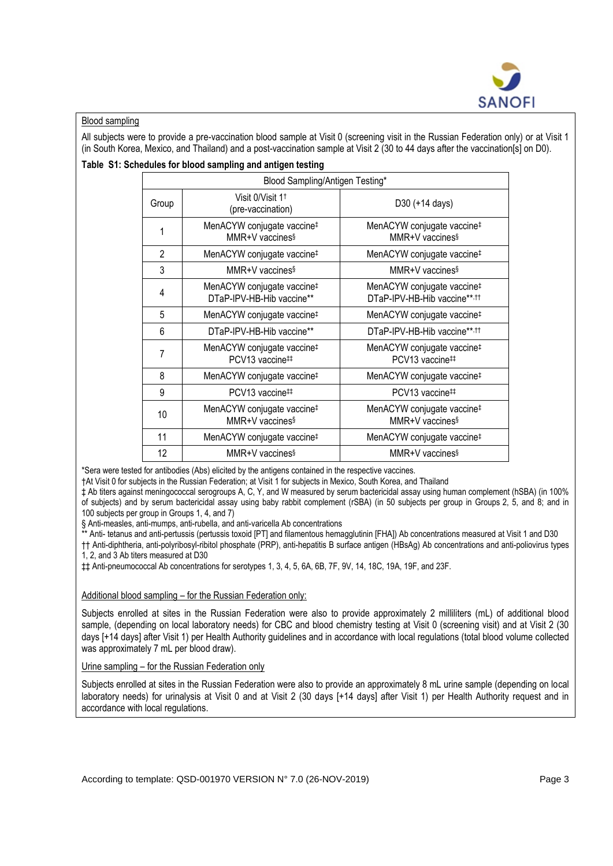

# Blood sampling

All subjects were to provide a pre-vaccination blood sample at Visit 0 (screening visit in the Russian Federation only) or at Visit 1 (in South Korea, Mexico, and Thailand) and a post-vaccination sample at Visit 2 (30 to 44 days after the vaccination[s] on D0).

## **Table S1: Schedules for blood sampling and antigen testing**

| Blood Sampling/Antigen Testing* |                                                                       |                                                                                    |  |
|---------------------------------|-----------------------------------------------------------------------|------------------------------------------------------------------------------------|--|
| Group                           | Visit 0/Visit 1 <sup>t</sup><br>(pre-vaccination)                     | D30 (+14 days)                                                                     |  |
| 1                               | MenACYW conjugate vaccine <sup>‡</sup><br>MMR+V vaccines <sup>§</sup> | MenACYW conjugate vaccine <sup>‡</sup><br>MMR+V vaccines§                          |  |
| $\overline{2}$                  | MenACYW conjugate vaccine <sup>‡</sup>                                | MenACYW conjugate vaccine <sup>‡</sup>                                             |  |
| 3                               | MMR+V vaccines <sup>§</sup>                                           | MMR+V vaccines§                                                                    |  |
| 4                               | MenACYW conjugate vaccine <sup>‡</sup><br>DTaP-IPV-HB-Hib vaccine**   | MenACYW conjugate vaccine <sup>‡</sup><br>DTaP-IPV-HB-Hib vaccine**, <sup>11</sup> |  |
| 5                               | MenACYW conjugate vaccine#                                            | MenACYW conjugate vaccine <sup>‡</sup>                                             |  |
| 6                               | DTaP-IPV-HB-Hib vaccine**                                             | DTaP-IPV-HB-Hib vaccine**,tt                                                       |  |
| 7                               | MenACYW conjugate vaccine <sup>‡</sup><br>PCV13 vaccine#              | MenACYW conjugate vaccine <sup>‡</sup><br>PCV13 vaccine#                           |  |
| 8                               | MenACYW conjugate vaccine <sup>‡</sup>                                | MenACYW conjugate vaccine <sup>‡</sup>                                             |  |
| 9                               | PCV13 vaccine#                                                        | PCV13 vaccine#                                                                     |  |
| 10                              | MenACYW conjugate vaccine <sup>‡</sup><br>MMR+V vaccines <sup>§</sup> | MenACYW conjugate vaccine <sup>‡</sup><br>MMR+V vaccines <sup>§</sup>              |  |
| 11                              | MenACYW conjugate vaccine#                                            | MenACYW conjugate vaccine#                                                         |  |
| 12                              | $MMR+V$ vaccines <sup>§</sup>                                         | MMR+V vaccines <sup>§</sup>                                                        |  |

\*Sera were tested for antibodies (Abs) elicited by the antigens contained in the respective vaccines.

†At Visit 0 for subjects in the Russian Federation; at Visit 1 for subjects in Mexico, South Korea, and Thailand

‡ Ab titers against meningococcal serogroups A, C, Y, and W measured by serum bactericidal assay using human complement (hSBA) (in 100% of subjects) and by serum bactericidal assay using baby rabbit complement (rSBA) (in 50 subjects per group in Groups 2, 5, and 8; and in 100 subjects per group in Groups 1, 4, and 7)

§ Anti-measles, anti-mumps, anti-rubella, and anti-varicella Ab concentrations

\*\* Anti- tetanus and anti-pertussis (pertussis toxoid [PT] and filamentous hemagglutinin [FHA]) Ab concentrations measured at Visit 1 and D30

†† Anti-diphtheria, anti-polyribosyl-ribitol phosphate (PRP), anti-hepatitis B surface antigen (HBsAg) Ab concentrations and anti-poliovirus types 1, 2, and 3 Ab titers measured at D30

‡‡ Anti-pneumococcal Ab concentrations for serotypes 1, 3, 4, 5, 6A, 6B, 7F, 9V, 14, 18C, 19A, 19F, and 23F.

## Additional blood sampling – for the Russian Federation only:

Subjects enrolled at sites in the Russian Federation were also to provide approximately 2 milliliters (mL) of additional blood sample, (depending on local laboratory needs) for CBC and blood chemistry testing at Visit 0 (screening visit) and at Visit 2 (30 days [+14 days] after Visit 1) per Health Authority guidelines and in accordance with local regulations (total blood volume collected was approximately 7 mL per blood draw).

Urine sampling – for the Russian Federation only

Subjects enrolled at sites in the Russian Federation were also to provide an approximately 8 mL urine sample (depending on local laboratory needs) for urinalysis at Visit 0 and at Visit 2 (30 days [+14 days] after Visit 1) per Health Authority request and in accordance with local regulations.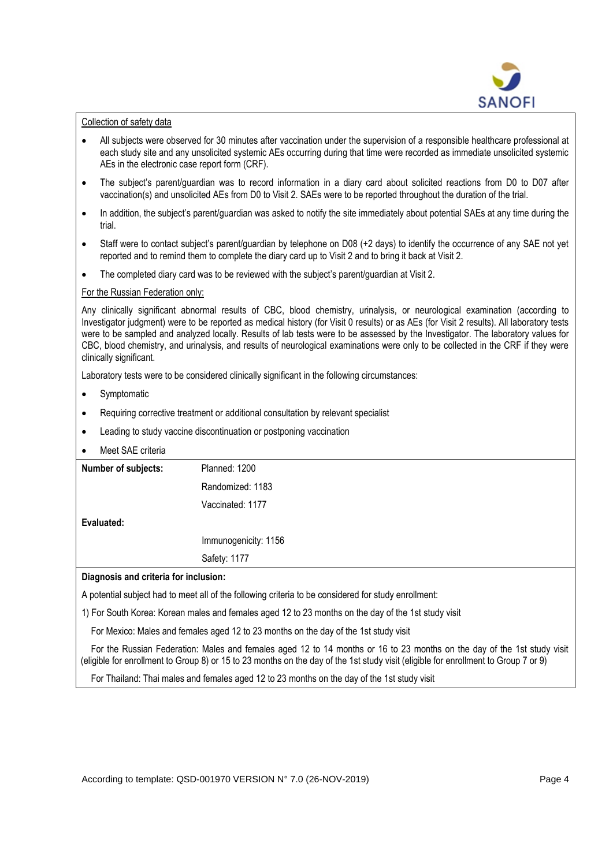

#### Collection of safety data

- All subjects were observed for 30 minutes after vaccination under the supervision of a responsible healthcare professional at each study site and any unsolicited systemic AEs occurring during that time were recorded as immediate unsolicited systemic AEs in the electronic case report form (CRF).
- The subject's parent/guardian was to record information in a diary card about solicited reactions from D0 to D07 after vaccination(s) and unsolicited AEs from D0 to Visit 2. SAEs were to be reported throughout the duration of the trial.
- In addition, the subject's parent/guardian was asked to notify the site immediately about potential SAEs at any time during the trial.
- Staff were to contact subject's parent/quardian by telephone on D08 (+2 days) to identify the occurrence of any SAE not yet reported and to remind them to complete the diary card up to Visit 2 and to bring it back at Visit 2.
- The completed diary card was to be reviewed with the subject's parent/guardian at Visit 2.

### For the Russian Federation only:

Any clinically significant abnormal results of CBC, blood chemistry, urinalysis, or neurological examination (according to Investigator judgment) were to be reported as medical history (for Visit 0 results) or as AEs (for Visit 2 results). All laboratory tests were to be sampled and analyzed locally. Results of lab tests were to be assessed by the Investigator. The laboratory values for CBC, blood chemistry, and urinalysis, and results of neurological examinations were only to be collected in the CRF if they were clinically significant.

Laboratory tests were to be considered clinically significant in the following circumstances:

- Symptomatic
- Requiring corrective treatment or additional consultation by relevant specialist
- Leading to study vaccine discontinuation or postponing vaccination
- Meet SAE criteria

| Number of subjects:                   | Planned: 1200        |  |
|---------------------------------------|----------------------|--|
|                                       | Randomized: 1183     |  |
|                                       | Vaccinated: 1177     |  |
| Evaluated:                            |                      |  |
|                                       | Immunogenicity: 1156 |  |
|                                       | Safety: 1177         |  |
| Diagnosis and criteria for inclusion: |                      |  |
|                                       |                      |  |

A potential subject had to meet all of the following criteria to be considered for study enrollment:

1) For South Korea: Korean males and females aged 12 to 23 months on the day of the 1st study visit

For Mexico: Males and females aged 12 to 23 months on the day of the 1st study visit

 For the Russian Federation: Males and females aged 12 to 14 months or 16 to 23 months on the day of the 1st study visit (eligible for enrollment to Group 8) or 15 to 23 months on the day of the 1st study visit (eligible for enrollment to Group 7 or 9)

For Thailand: Thai males and females aged 12 to 23 months on the day of the 1st study visit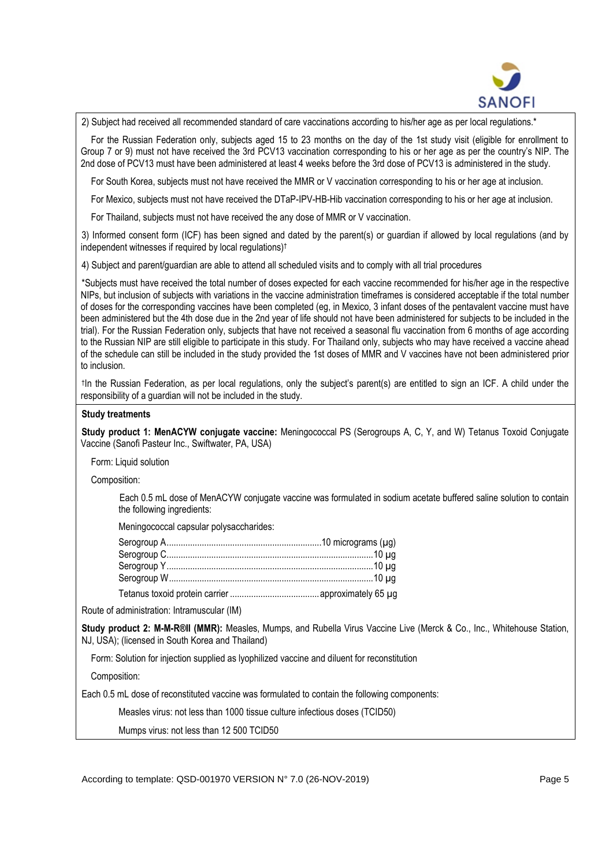

2) Subject had received all recommended standard of care vaccinations according to his/her age as per local regulations.\*

 For the Russian Federation only, subjects aged 15 to 23 months on the day of the 1st study visit (eligible for enrollment to Group 7 or 9) must not have received the 3rd PCV13 vaccination corresponding to his or her age as per the country's NIP. The 2nd dose of PCV13 must have been administered at least 4 weeks before the 3rd dose of PCV13 is administered in the study.

For South Korea, subjects must not have received the MMR or V vaccination corresponding to his or her age at inclusion.

For Mexico, subjects must not have received the DTaP-IPV-HB-Hib vaccination corresponding to his or her age at inclusion.

For Thailand, subjects must not have received the any dose of MMR or V vaccination.

3) Informed consent form (ICF) has been signed and dated by the parent(s) or guardian if allowed by local regulations (and by independent witnesses if required by local requlations)<sup>†</sup>

4) Subject and parent/guardian are able to attend all scheduled visits and to comply with all trial procedures

\*Subjects must have received the total number of doses expected for each vaccine recommended for his/her age in the respective NIPs, but inclusion of subjects with variations in the vaccine administration timeframes is considered acceptable if the total number of doses for the corresponding vaccines have been completed (eg, in Mexico, 3 infant doses of the pentavalent vaccine must have been administered but the 4th dose due in the 2nd year of life should not have been administered for subjects to be included in the trial). For the Russian Federation only, subjects that have not received a seasonal flu vaccination from 6 months of age according to the Russian NIP are still eligible to participate in this study. For Thailand only, subjects who may have received a vaccine ahead of the schedule can still be included in the study provided the 1st doses of MMR and V vaccines have not been administered prior to inclusion.

† In the Russian Federation, as per local regulations, only the subject's parent(s) are entitled to sign an ICF. A child under the responsibility of a guardian will not be included in the study.

#### **Study treatments**

**Study product 1: MenACYW conjugate vaccine:** Meningococcal PS (Serogroups A, C, Y, and W) Tetanus Toxoid Conjugate Vaccine (Sanofi Pasteur Inc., Swiftwater, PA, USA)

Form: Liquid solution

Composition:

Each 0.5 mL dose of MenACYW conjugate vaccine was formulated in sodium acetate buffered saline solution to contain the following ingredients:

Meningococcal capsular polysaccharides:

Route of administration: Intramuscular (IM)

**Study product 2: M-M-R® II (MMR):** Measles, Mumps, and Rubella Virus Vaccine Live (Merck & Co., Inc., Whitehouse Station, NJ, USA); (licensed in South Korea and Thailand)

Form: Solution for injection supplied as lyophilized vaccine and diluent for reconstitution

Composition:

Each 0.5 mL dose of reconstituted vaccine was formulated to contain the following components:

Measles virus: not less than 1000 tissue culture infectious doses (TCID50)

Mumps virus: not less than 12 500 TCID50

According to template: QSD-001970 VERSION N° 7.0 (26-NOV-2019) Page 5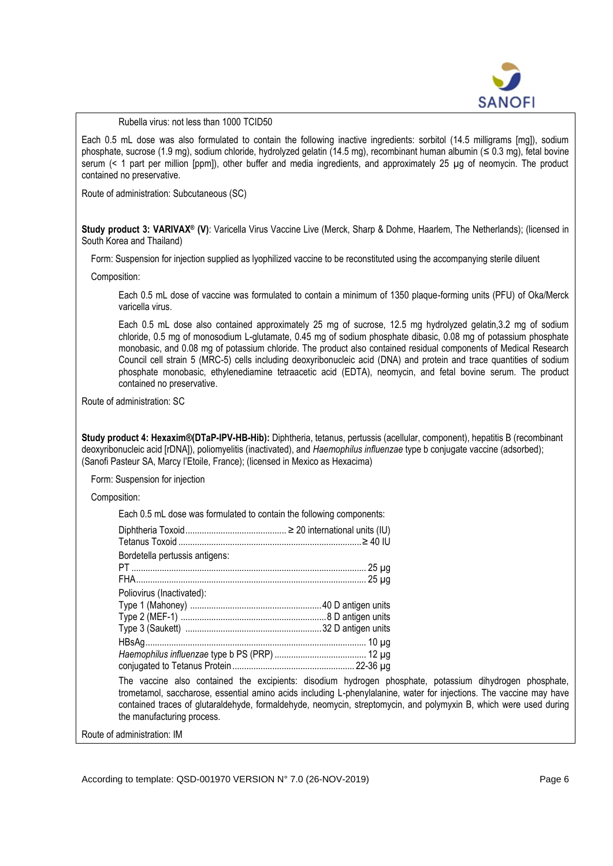

#### Rubella virus: not less than 1000 TCID50

Each 0.5 mL dose was also formulated to contain the following inactive ingredients: sorbitol (14.5 milligrams [mg]), sodium phosphate, sucrose (1.9 mg), sodium chloride, hydrolyzed gelatin (14.5 mg), recombinant human albumin (≤ 0.3 mg), fetal bovine serum (< 1 part per million [ppm]), other buffer and media ingredients, and approximately 25 µg of neomycin. The product contained no preservative.

Route of administration: Subcutaneous (SC)

**Study product 3: VARIVAX® (V)**: Varicella Virus Vaccine Live (Merck, Sharp & Dohme, Haarlem, The Netherlands); (licensed in South Korea and Thailand)

Form: Suspension for injection supplied as lyophilized vaccine to be reconstituted using the accompanying sterile diluent

Composition:

Each 0.5 mL dose of vaccine was formulated to contain a minimum of 1350 plaque-forming units (PFU) of Oka/Merck varicella virus.

Each 0.5 mL dose also contained approximately 25 mg of sucrose, 12.5 mg hydrolyzed gelatin,3.2 mg of sodium chloride, 0.5 mg of monosodium L-glutamate, 0.45 mg of sodium phosphate dibasic, 0.08 mg of potassium phosphate monobasic, and 0.08 mg of potassium chloride. The product also contained residual components of Medical Research Council cell strain 5 (MRC-5) cells including deoxyribonucleic acid (DNA) and protein and trace quantities of sodium phosphate monobasic, ethylenediamine tetraacetic acid (EDTA), neomycin, and fetal bovine serum. The product contained no preservative.

Route of administration: SC

**Study product 4: Hexaxim® (DTaP-IPV-HB-Hib):** Diphtheria, tetanus, pertussis (acellular, component), hepatitis B (recombinant deoxyribonucleic acid [rDNA]), poliomyelitis (inactivated), and *Haemophilus influenzae* type b conjugate vaccine (adsorbed); (Sanofi Pasteur SA, Marcy l'Etoile, France); (licensed in Mexico as Hexacima)

Form: Suspension for injection

Composition:

Each 0.5 mL dose was formulated to contain the following components:

| Bordetella pertussis antigens: |  |
|--------------------------------|--|
|                                |  |
|                                |  |
| Poliovirus (Inactivated):      |  |
|                                |  |
|                                |  |
|                                |  |
|                                |  |
|                                |  |
|                                |  |
|                                |  |

The vaccine also contained the excipients: disodium hydrogen phosphate, potassium dihydrogen phosphate, trometamol, saccharose, essential amino acids including L-phenylalanine, water for injections. The vaccine may have contained traces of glutaraldehyde, formaldehyde, neomycin, streptomycin, and polymyxin B, which were used during the manufacturing process.

Route of administration: IM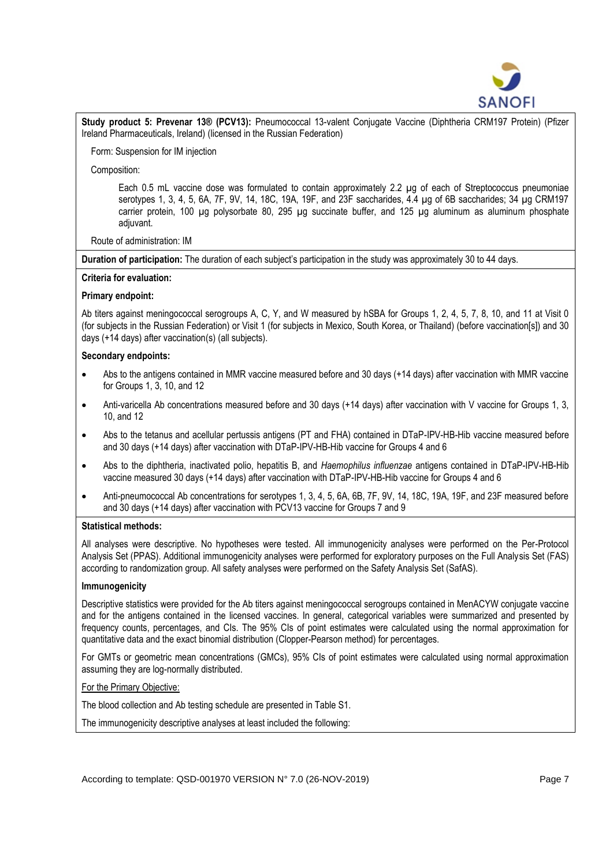

**Study product 5: Prevenar 13® (PCV13):** Pneumococcal 13-valent Conjugate Vaccine (Diphtheria CRM197 Protein) (Pfizer Ireland Pharmaceuticals, Ireland) (licensed in the Russian Federation)

Form: Suspension for IM injection

Composition:

Each 0.5 mL vaccine dose was formulated to contain approximately 2.2 ug of each of Streptococcus pneumoniae serotypes 1, 3, 4, 5, 6A, 7F, 9V, 14, 18C, 19A, 19F, and 23F saccharides, 4.4 µg of 6B saccharides; 34 µg CRM197 carrier protein, 100  $\mu$ g polysorbate 80, 295  $\mu$ g succinate buffer, and 125  $\mu$ g aluminum as aluminum phosphate adiuvant.

### Route of administration: IM

**Duration of participation:** The duration of each subject's participation in the study was approximately 30 to 44 days.

### **Criteria for evaluation:**

### **Primary endpoint:**

Ab titers against meningococcal serogroups A, C, Y, and W measured by hSBA for Groups 1, 2, 4, 5, 7, 8, 10, and 11 at Visit 0 (for subjects in the Russian Federation) or Visit 1 (for subjects in Mexico, South Korea, or Thailand) (before vaccination[s]) and 30 days (+14 days) after vaccination(s) (all subjects).

## **Secondary endpoints:**

- Abs to the antigens contained in MMR vaccine measured before and 30 days (+14 days) after vaccination with MMR vaccine for Groups 1, 3, 10, and 12
- Anti-varicella Ab concentrations measured before and 30 days (+14 days) after vaccination with V vaccine for Groups 1, 3, 10, and 12
- Abs to the tetanus and acellular pertussis antigens (PT and FHA) contained in DTaP-IPV-HB-Hib vaccine measured before and 30 days (+14 days) after vaccination with DTaP-IPV-HB-Hib vaccine for Groups 4 and 6
- Abs to the diphtheria, inactivated polio, hepatitis B, and *Haemophilus influenzae* antigens contained in DTaP-IPV-HB-Hib vaccine measured 30 days (+14 days) after vaccination with DTaP-IPV-HB-Hib vaccine for Groups 4 and 6
- Anti-pneumococcal Ab concentrations for serotypes 1, 3, 4, 5, 6A, 6B, 7F, 9V, 14, 18C, 19A, 19F, and 23F measured before and 30 days (+14 days) after vaccination with PCV13 vaccine for Groups 7 and 9

## **Statistical methods:**

All analyses were descriptive. No hypotheses were tested. All immunogenicity analyses were performed on the Per-Protocol Analysis Set (PPAS). Additional immunogenicity analyses were performed for exploratory purposes on the Full Analysis Set (FAS) according to randomization group. All safety analyses were performed on the Safety Analysis Set (SafAS).

## **Immunogenicity**

Descriptive statistics were provided for the Ab titers against meningococcal serogroups contained in MenACYW conjugate vaccine and for the antigens contained in the licensed vaccines. In general, categorical variables were summarized and presented by frequency counts, percentages, and CIs. The 95% CIs of point estimates were calculated using the normal approximation for quantitative data and the exact binomial distribution (Clopper-Pearson method) for percentages.

For GMTs or geometric mean concentrations (GMCs), 95% CIs of point estimates were calculated using normal approximation assuming they are log-normally distributed.

#### For the Primary Objective:

The blood collection and Ab testing schedule are presented in Table S1.

The immunogenicity descriptive analyses at least included the following: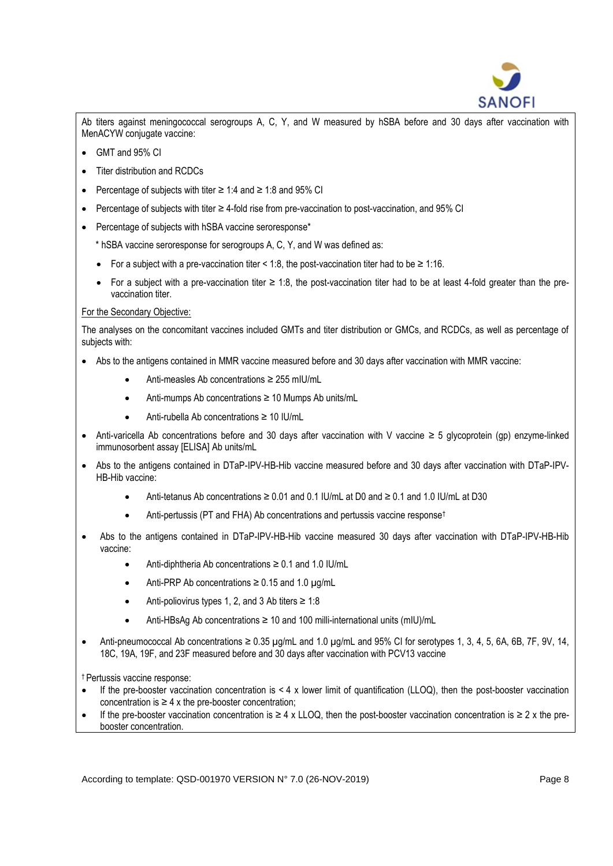

Ab titers against meningococcal serogroups A, C, Y, and W measured by hSBA before and 30 days after vaccination with MenACYW conjugate vaccine:

- GMT and 95% CI
- Titer distribution and RCDCs
- Percentage of subjects with titer ≥ 1:4 and ≥ 1:8 and 95% CI
- Percentage of subjects with titer ≥ 4-fold rise from pre-vaccination to post-vaccination, and 95% CI
- Percentage of subjects with hSBA vaccine seroresponse\*

\* hSBA vaccine seroresponse for serogroups A, C, Y, and W was defined as:

- For a subject with a pre-vaccination titer < 1:8, the post-vaccination titer had to be  $\geq 1:16$ .
- For a subject with a pre-vaccination titer  $\geq 1.8$ , the post-vaccination titer had to be at least 4-fold greater than the prevaccination titer.

## For the Secondary Objective:

The analyses on the concomitant vaccines included GMTs and titer distribution or GMCs, and RCDCs, as well as percentage of subjects with:

- Abs to the antigens contained in MMR vaccine measured before and 30 days after vaccination with MMR vaccine:
	- Anti-measles Ab concentrations ≥ 255 mIU/mL
	- Anti-mumps Ab concentrations ≥ 10 Mumps Ab units/mL
	- Anti-rubella Ab concentrations ≥ 10 IU/mL
- Anti-varicella Ab concentrations before and 30 days after vaccination with V vaccine ≥ 5 glycoprotein (gp) enzyme-linked immunosorbent assay [ELISA] Ab units/mL
- Abs to the antigens contained in DTaP-IPV-HB-Hib vaccine measured before and 30 days after vaccination with DTaP-IPV-HB-Hib vaccine:
	- Anti-tetanus Ab concentrations  $\geq 0.01$  and  $0.1$  IU/mL at D0 and  $\geq 0.1$  and 1.0 IU/mL at D30
	- Anti-pertussis (PT and FHA) Ab concentrations and pertussis vaccine response<sup>†</sup>
- Abs to the antigens contained in DTaP-IPV-HB-Hib vaccine measured 30 days after vaccination with DTaP-IPV-HB-Hib vaccine:
	- Anti-diphtheria Ab concentrations  $\geq 0.1$  and 1.0 IU/mL
	- Anti-PRP Ab concentrations  $\geq 0.15$  and 1.0  $\mu$ g/mL
	- Anti-poliovirus types 1, 2, and 3 Ab titers ≥ 1:8
	- Anti-HBsAg Ab concentrations ≥ 10 and 100 milli-international units (mIU)/mL
- Anti-pneumococcal Ab concentrations  $\geq 0.35$   $\mu$ g/mL and 1.0  $\mu$ g/mL and 95% CI for serotypes 1, 3, 4, 5, 6A, 6B, 7F, 9V, 14, 18C, 19A, 19F, and 23F measured before and 30 days after vaccination with PCV13 vaccine

† Pertussis vaccine response:

- If the pre-booster vaccination concentration is  $\leq 4 \times$  lower limit of quantification (LLOQ), then the post-booster vaccination concentration is  $\geq 4$  x the pre-booster concentration;
- If the pre-booster vaccination concentration is ≥ 4 x LLOQ, then the post-booster vaccination concentration is ≥ 2 x the prebooster concentration.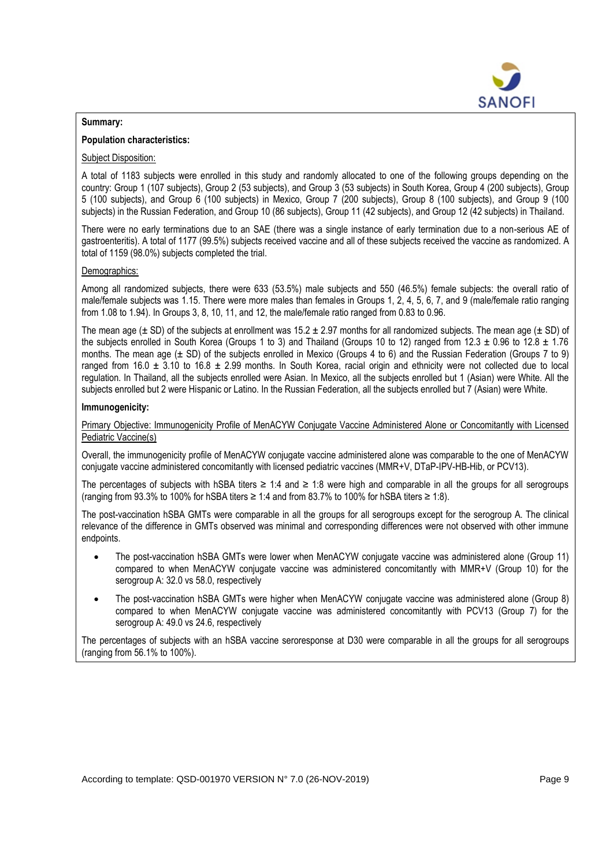

## **Summary:**

# **Population characteristics:**

## Subject Disposition:

A total of 1183 subjects were enrolled in this study and randomly allocated to one of the following groups depending on the country: Group 1 (107 subjects), Group 2 (53 subjects), and Group 3 (53 subjects) in South Korea, Group 4 (200 subjects), Group 5 (100 subjects), and Group 6 (100 subjects) in Mexico, Group 7 (200 subjects), Group 8 (100 subjects), and Group 9 (100 subjects) in the Russian Federation, and Group 10 (86 subjects), Group 11 (42 subjects), and Group 12 (42 subjects) in Thailand.

There were no early terminations due to an SAE (there was a single instance of early termination due to a non-serious AE of gastroenteritis). A total of 1177 (99.5%) subjects received vaccine and all of these subjects received the vaccine as randomized. A total of 1159 (98.0%) subjects completed the trial.

### Demographics:

Among all randomized subjects, there were 633 (53.5%) male subjects and 550 (46.5%) female subjects: the overall ratio of male/female subjects was 1.15. There were more males than females in Groups 1, 2, 4, 5, 6, 7, and 9 (male/female ratio ranging from 1.08 to 1.94). In Groups 3, 8, 10, 11, and 12, the male/female ratio ranged from 0.83 to 0.96.

The mean age ( $\pm$  SD) of the subjects at enrollment was 15.2  $\pm$  2.97 months for all randomized subjects. The mean age ( $\pm$  SD) of the subjects enrolled in South Korea (Groups 1 to 3) and Thailand (Groups 10 to 12) ranged from 12.3  $\pm$  0.96 to 12.8  $\pm$  1.76 months. The mean age  $(\pm$  SD) of the subjects enrolled in Mexico (Groups 4 to 6) and the Russian Federation (Groups 7 to 9) ranged from 16.0  $\pm$  3.10 to 16.8  $\pm$  2.99 months. In South Korea, racial origin and ethnicity were not collected due to local regulation. In Thailand, all the subjects enrolled were Asian. In Mexico, all the subjects enrolled but 1 (Asian) were White. All the subjects enrolled but 2 were Hispanic or Latino. In the Russian Federation, all the subjects enrolled but 7 (Asian) were White.

### **Immunogenicity:**

Primary Objective: Immunogenicity Profile of MenACYW Conjugate Vaccine Administered Alone or Concomitantly with Licensed Pediatric Vaccine(s)

Overall, the immunogenicity profile of MenACYW conjugate vaccine administered alone was comparable to the one of MenACYW conjugate vaccine administered concomitantly with licensed pediatric vaccines (MMR+V, DTaP-IPV-HB-Hib, or PCV13).

The percentages of subjects with hSBA titers ≥ 1:4 and ≥ 1:8 were high and comparable in all the groups for all serogroups (ranging from 93.3% to 100% for hSBA titers ≥ 1:4 and from 83.7% to 100% for hSBA titers ≥ 1:8).

The post-vaccination hSBA GMTs were comparable in all the groups for all serogroups except for the serogroup A. The clinical relevance of the difference in GMTs observed was minimal and corresponding differences were not observed with other immune endpoints.

- The post-vaccination hSBA GMTs were lower when MenACYW conjugate vaccine was administered alone (Group 11) compared to when MenACYW conjugate vaccine was administered concomitantly with MMR+V (Group 10) for the serogroup A: 32.0 vs 58.0, respectively
- The post-vaccination hSBA GMTs were higher when MenACYW conjugate vaccine was administered alone (Group 8) compared to when MenACYW conjugate vaccine was administered concomitantly with PCV13 (Group 7) for the serogroup A: 49.0 vs 24.6, respectively

The percentages of subjects with an hSBA vaccine seroresponse at D30 were comparable in all the groups for all serogroups (ranging from 56.1% to 100%).